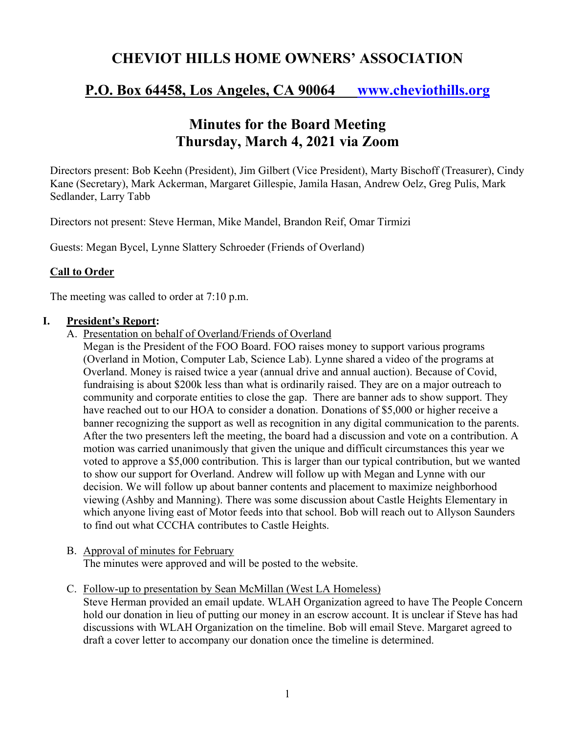# **CHEVIOT HILLS HOME OWNERS' ASSOCIATION**

## **P.O. Box 64458, Los Angeles, CA 90064 www.cheviothills.org**

# **Minutes for the Board Meeting Thursday, March 4, 2021 via Zoom**

Directors present: Bob Keehn (President), Jim Gilbert (Vice President), Marty Bischoff (Treasurer), Cindy Kane (Secretary), Mark Ackerman, Margaret Gillespie, Jamila Hasan, Andrew Oelz, Greg Pulis, Mark Sedlander, Larry Tabb

Directors not present: Steve Herman, Mike Mandel, Brandon Reif, Omar Tirmizi

Guests: Megan Bycel, Lynne Slattery Schroeder (Friends of Overland)

#### **Call to Order**

The meeting was called to order at 7:10 p.m.

#### **I. President's Report:**

A. Presentation on behalf of Overland/Friends of Overland

Megan is the President of the FOO Board. FOO raises money to support various programs (Overland in Motion, Computer Lab, Science Lab). Lynne shared a video of the programs at Overland. Money is raised twice a year (annual drive and annual auction). Because of Covid, fundraising is about \$200k less than what is ordinarily raised. They are on a major outreach to community and corporate entities to close the gap. There are banner ads to show support. They have reached out to our HOA to consider a donation. Donations of \$5,000 or higher receive a banner recognizing the support as well as recognition in any digital communication to the parents. After the two presenters left the meeting, the board had a discussion and vote on a contribution. A motion was carried unanimously that given the unique and difficult circumstances this year we voted to approve a \$5,000 contribution. This is larger than our typical contribution, but we wanted to show our support for Overland. Andrew will follow up with Megan and Lynne with our decision. We will follow up about banner contents and placement to maximize neighborhood viewing (Ashby and Manning). There was some discussion about Castle Heights Elementary in which anyone living east of Motor feeds into that school. Bob will reach out to Allyson Saunders to find out what CCCHA contributes to Castle Heights.

- B. Approval of minutes for February The minutes were approved and will be posted to the website.
- C. Follow-up to presentation by Sean McMillan (West LA Homeless)

Steve Herman provided an email update. WLAH Organization agreed to have The People Concern hold our donation in lieu of putting our money in an escrow account. It is unclear if Steve has had discussions with WLAH Organization on the timeline. Bob will email Steve. Margaret agreed to draft a cover letter to accompany our donation once the timeline is determined.